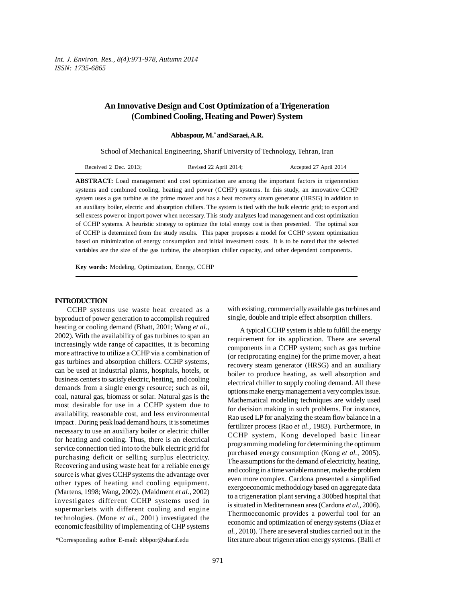# **An Innovative Design and Cost Optimization of a Trigeneration (Combined Cooling, Heating and Power) System**

**Abbaspour, M.\* and Saraei, A.R.**

School of Mechanical Engineering, Sharif University of Technology, Tehran, Iran

| Received 2 Dec. 2013: | Revised 22 April 2014; | Accepted 27 April 2014 |
|-----------------------|------------------------|------------------------|
|-----------------------|------------------------|------------------------|

**ABSTRACT:** Load management and cost optimization are among the important factors in trigeneration systems and combined cooling, heating and power (CCHP) systems. In this study, an innovative CCHP system uses a gas turbine as the prime mover and has a heat recovery steam generator (HRSG) in addition to an auxiliary boiler, electric and absorption chillers. The system is tied with the bulk electric grid; to export and sell excess power or import power when necessary. This study analyzes load management and cost optimization of CCHP systems. A heuristic strategy to optimize the total energy cost is then presented. The optimal size of CCHP is determined from the study results. This paper proposes a model for CCHP system optimization based on minimization of energy consumption and initial investment costs. It is to be noted that the selected variables are the size of the gas turbine, the absorption chiller capacity, and other dependent components.

**Key words:** Modeling, Optimization, Energy, CCHP

## **INTRODUCTION**

CCHP systems use waste heat created as a byproduct of power generation to accomplish required heating or cooling demand (Bhatt, 2001; Wang *et al.*, 2002). With the availability of gas turbines to span an increasingly wide range of capacities, it is becoming more attractive to utilize a CCHP via a combination of gas turbines and absorption chillers. CCHP systems, can be used at industrial plants, hospitals, hotels, or business centers to satisfy electric, heating, and cooling demands from a single energy resource; such as oil, coal, natural gas, biomass or solar. Natural gas is the most desirable for use in a CCHP system due to availability, reasonable cost, and less environmental impact . During peak load demand hours, it is sometimes necessary to use an auxiliary boiler or electric chiller for heating and cooling. Thus, there is an electrical service connection tied into to the bulk electric grid for purchasing deficit or selling surplus electricity. Recovering and using waste heat for a reliable energy source is what gives CCHP systems the advantage over other types of heating and cooling equipment. (Martens, 1998; Wang, 2002). (Maidment *et al.,* 2002) investigates different CCHP systems used in supermarkets with different cooling and engine technologies. (Mone *et al.,* 2001) investigated the economic feasibility of implementing of CHP systems

with existing, commercially available gas turbines and single, double and triple effect absorption chillers.

A typical CCHP system is able to fulfill the energy requirement for its application. There are several components in a CCHP system; such as gas turbine (or reciprocating engine) for the prime mover, a heat recovery steam generator (HRSG) and an auxiliary boiler to produce heating, as well absorption and electrical chiller to supply cooling demand. All these options make energy management a very complex issue. Mathematical modeling techniques are widely used for decision making in such problems. For instance, Rao used LP for analyzing the steam flow balance in a fertilizer process (Rao *et al.,* 1983). Furthermore, in CCHP system, Kong developed basic linear programming modeling for determining the optimum purchased energy consumption (Kong *et al.,* 2005). The assumptions for the demand of electricity, heating, and cooling in a time variable manner, make the problem even more complex. Cardona presented a simplified exergoeconomic methodology based on aggregate data to a trigeneration plant serving a 300bed hospital that is situated in Mediterranean area (Cardona *et al.,* 2006). Thermoeconomic provides a powerful tool for an economic and optimization of energy systems (Díaz *et al.,* 2010). There are several studies carried out in the literature about trigeneration energy systems. (Balli *et*

<sup>\*</sup>Corresponding author E-mail: abbpor@sharif.edu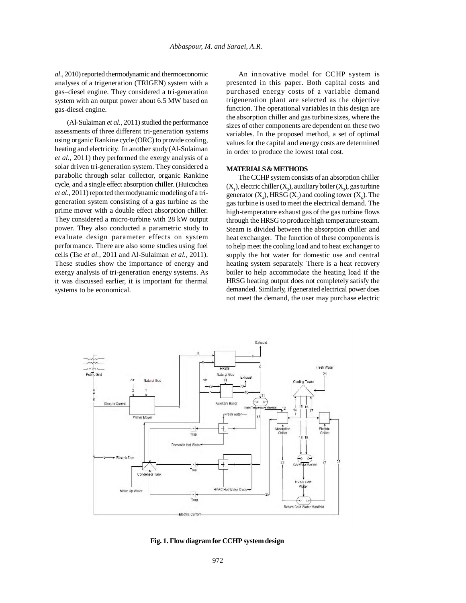*al*., 2010) reported thermodynamic and thermoeconomic analyses of a trigeneration (TRIGEN) system with a gas–diesel engine. They considered a tri-generation system with an output power about 6.5 MW based on gas-diesel engine.

(Al-Sulaiman *et al.,* 2011) studied the performance assessments of three different tri-generation systems using organic Rankine cycle (ORC) to provide cooling, heating and electricity. In another study (Al-Sulaiman *et al.,* 2011) they performed the exergy analysis of a solar driven tri-generation system. They considered a parabolic through solar collector, organic Rankine cycle, and a single effect absorption chiller. (Huicochea *et al.,* 2011) reported thermodynamic modeling of a trigeneration system consisting of a gas turbine as the prime mover with a double effect absorption chiller. They considered a micro-turbine with 28 kW output power. They also conducted a parametric study to evaluate design parameter effects on system performance. There are also some studies using fuel cells (Tse *et al.,* 2011 and Al-Sulaiman *et al.,* 2011). These studies show the importance of energy and exergy analysis of tri-generation energy systems. As it was discussed earlier, it is important for thermal systems to be economical.

An innovative model for CCHP system is presented in this paper. Both capital costs and purchased energy costs of a variable demand trigeneration plant are selected as the objective function. The operational variables in this design are the absorption chiller and gas turbine sizes, where the sizes of other components are dependent on these two variables. In the proposed method, a set of optimal values for the capital and energy costs are determined in order to produce the lowest total cost.

## **MATERIALS & METHODS**

The CCHP system consists of an absorption chiller  $(X_1)$ , electric chiller  $(X_2)$ , auxiliary boiler  $(X_3)$ , gas turbine generator  $(X_4)$ , HRSG  $(X_5)$  and cooling tower  $(X_6)$ . The gas turbine is used to meet the electrical demand. The high-temperature exhaust gas of the gas turbine flows through the HRSG to produce high temperature steam. Steam is divided between the absorption chiller and heat exchanger. The function of these components is to help meet the cooling load and to heat exchanger to supply the hot water for domestic use and central heating system separately. There is a heat recovery boiler to help accommodate the heating load if the HRSG heating output does not completely satisfy the demanded. Similarly, if generated electrical power does not meet the demand, the user may purchase electric



**Fig. 1. Flow diagram for CCHP system design**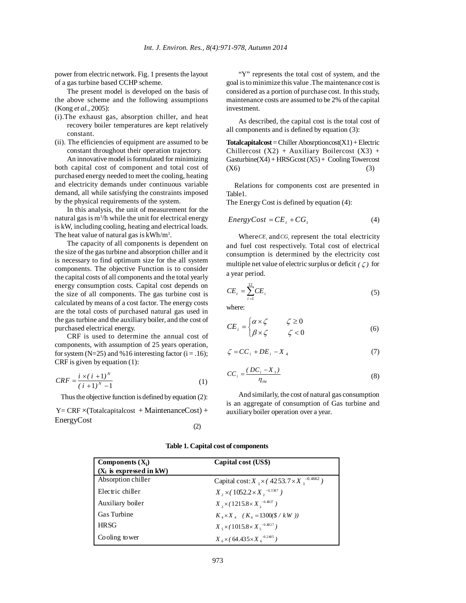power from electric network. Fig. 1 presents the layout of a gas turbine based CCHP scheme.

The present model is developed on the basis of the above scheme and the following assumptions (Kong *et al.,* 2005):

- (i).The exhaust gas, absorption chiller, and heat recovery boiler temperatures are kept relatively constant.
- (ii). The efficiencies of equipment are assumed to be constant throughout their operation trajectory.

An innovative model is formulated for minimizing both capital cost of component and total cost of purchased energy needed to meet the cooling, heating and electricity demands under continuous variable demand, all while satisfying the constraints imposed by the physical requirements of the system.

In this analysis, the unit of measurement for the natural gas is m<sup>3</sup>/h while the unit for electrical energy is kW, including cooling, heating and electrical loads. The heat value of natural gas is  $kWh/m<sup>3</sup>$ .

The capacity of all components is dependent on the size of the gas turbine and absorption chiller and it is necessary to find optimum size for the all system components. The objective Function is to consider the capital costs of all components and the total yearly energy consumption costs. Capital cost depends on the size of all components. The gas turbine cost is calculated by means of a cost factor. The energy costs are the total costs of purchased natural gas used in the gas turbine and the auxiliary boiler, and the cost of purchased electrical energy.

CRF is used to determine the annual cost of components, with assumption of 25 years operation, for system (N=25) and %16 interesting factor ( $i = .16$ ); CRF is given by equation (1):

$$
CRF = \frac{i \times (i + 1)^N}{(i + 1)^N - 1} \tag{1}
$$

Thus the objective function is defined by equation (2):

 $Y = CRF \times (Totalcapital cost + MaintenanceCost) +$ EnergyCost (2)

"Y" represents the total cost of system, and the goal is to minimize this value .The maintenance cost is considered as a portion of purchase cost. In this study, maintenance costs are assumed to be 2% of the capital investment.

As described, the capital cost is the total cost of all components and is defined by equation (3):

**Totalcapitalcost** = Chiller Abosrptioncost(X1) + Electric Chillercost  $(X2)$  + Auxiliary Boilercost  $(X3)$  +  $Gasturbine(X4) + HRSGcost(X5) + Cooling Towercost$  $(X6)$  (3)

Relations for components cost are presented in Table1.

The Energy Cost is defined by equation (4):

$$
EnergyCost = CE_{t} + CG_{t}
$$
 (4)

Where*CE*, and  $CG$ , represent the total electricity and fuel cost respectively. Total cost of electrical consumption is determined by the electricity cost multiple net value of electric surplus or deficit  $(\zeta)$  for a year period.

$$
CE_{i} = \sum_{i=1}^{12} CE_{i}
$$
 (5)

where:

$$
CE_i = \begin{cases} \alpha \times \zeta & \zeta \ge 0 \\ \beta \times \zeta & \zeta < 0 \end{cases}
$$
 (6)

$$
\zeta = CC_i + DE_i - X_4 \tag{7}
$$

$$
CC_i = \frac{(DC_i - X_1)}{\eta_{\text{che}}}
$$
\n(8)

And similarly, the cost of natural gas consumption is an aggregate of consumption of Gas turbine and auxiliary boiler operation over a year.

| Components $(X_i)$         | Capital cost (US\$)                                      |
|----------------------------|----------------------------------------------------------|
| $(X_i$ is expressed in kW) |                                                          |
| Absorption chiller         | Capital cost: $X_1 \times (4253.7 \times X_1^{-0.4662})$ |
| Electric chiller           | $X_2 \times (1052.2 \times X_2^{-0.3387})$               |
| Auxiliary boiler           | $X_3 \times (1215.8 \times X_3^{-0.4827})$               |
| <b>Gas Turbine</b>         | $K_A \times X_A$ ( $K_A = 1300(\frac{8}{\text{KW}})$ )   |
| <b>HRSG</b>                | $X_{s} \times (1015.8 \times X_{s}^{-0.4827})$           |
| Cooling tower              | $X_6 \times (64.435 \times X_6^{-0.2405})$               |

**Table 1. Capital cost of components**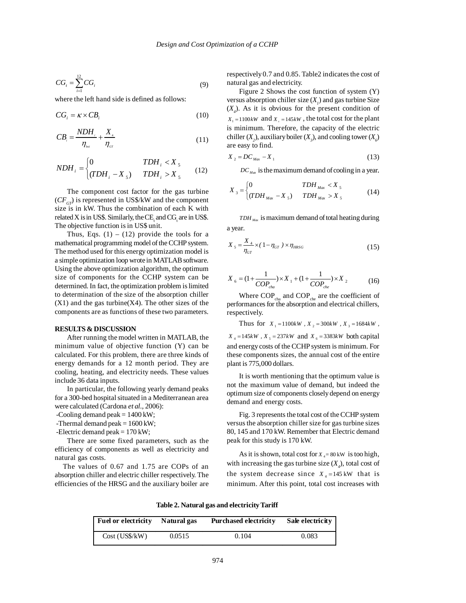$$
CG_i = \sum_{i=1}^{12} CG_i \tag{9}
$$

where the left hand side is defined as follows:

$$
CG_i = \kappa \times CB_i \tag{10}
$$

$$
CB_i = \frac{NDH_i}{\eta_{\text{bot}}} + \frac{X_i}{\eta_{\sigma\tau}}
$$
\n(11)

$$
NDH_i = \begin{cases} 0 & TDH_i < X_5 \\ (TDH_i - X_5) & TDH_i > X_5 \end{cases}
$$
 (12)

The component cost factor for the gas turbine  $(CF_{CT})$  is represented in US\$/kW and the component size is in kW. Thus the combination of each K with related X is in US\$. Similarly, the  $\mathrm{CE}_{t}$  and  $\mathrm{CG}_{t}$  are in US\$. The objective function is in US\$ unit.

Thus, Eqs.  $(1) - (12)$  provide the tools for a mathematical programming model of the CCHP system. The method used for this energy optimization model is a simple optimization loop wrote in MATLAB software. Using the above optimization algorithm, the optimum size of components for the CCHP system can be determined. In fact, the optimization problem is limited to determination of the size of the absorption chiller  $(X1)$  and the gas turbine $(X4)$ . The other sizes of the components are as functions of these two parameters.

### **RESULTS & DISCUSSION**

After running the model written in MATLAB, the minimum value of objective function (Y) can be calculated. For this problem, there are three kinds of energy demands for a 12 month period. They are cooling, heating, and electricity needs. These values include 36 data inputs.

In particular, the following yearly demand peaks for a 300-bed hospital situated in a Mediterranean area were calculated (Cardona *et al.,* 2006):

-Cooling demand peak = 1400 kW;

-Thermal demand peak  $= 1600 \text{ kW}$ ;

-Electric demand peak  $= 170$  kW;

There are some fixed parameters, such as the efficiency of components as well as electricity and natural gas costs.

The values of 0.67 and 1.75 are COPs of an absorption chiller and electric chiller respectively. The efficiencies of the HRSG and the auxiliary boiler are respectively 0.7 and 0.85. Table2 indicates the cost of natural gas and electricity.

Figure 2 Shows the cost function of system (Y) versus absorption chiller size  $(X<sub>i</sub>)$  and gas turbine Size  $(X_4)$ . As it is obvious for the present condition of  $X_1 = 1100kW$  and  $X_2 = 145kW$ , the total cost for the plant is minimum. Therefore, the capacity of the electric chiller  $(X_2)$ , auxiliary boiler  $(X_3)$ , and cooling tower  $(X_3)$ are easy to find.

$$
X_2 = DC_{\text{Max}} - X_1 \tag{13}
$$

*DC Max* is the maximum demand of cooling in a year.

$$
X_{3} = \begin{cases} 0 & TDH_{Max} < X_{5} \\ (TDH_{Max} - X_{5}) & TDH_{Max} > X_{5} \end{cases}
$$
(14)

*TDH Max* is maximum demand of total heating during a year.

$$
X_{s} = \frac{X_{4}}{\eta_{GT}} \times (1 - \eta_{GT}) \times \eta_{H RSG}
$$
\n(15)

$$
X_6 = (1 + \frac{1}{COP_{cha}}) \times X_1 + (1 + \frac{1}{COP_{che}}) \times X_2
$$
 (16)

Where  $COP_{\text{cha}}$  and  $COP_{\text{che}}$  are the coefficient of performances for the absorption and electrical chillers, respectively.

Thus for  $X_1 = 1100kW$ ,  $X_2 = 300kW$ ,  $X_3 = 1684kW$ ,

 $X_4 = 145 kW$ ,  $X_5 = 237 kW$  and  $X_6 = 3383 kW$  both capital and energy costs of the CCHP system is minimum. For these components sizes, the annual cost of the entire plant is 775,000 dollars.

It is worth mentioning that the optimum value is not the maximum value of demand, but indeed the optimum size of components closely depend on energy demand and energy costs.

Fig. 3 represents the total cost of the CCHP system versus the absorption chiller size for gas turbine sizes 80, 145 and 170 kW. Remember that Electric demand peak for this study is 170 kW.

As it is shown, total cost for  $X_4 = 80$  kW is too high, with increasing the gas turbine size  $(X_4)$ , total cost of the system decrease since  $X_4 = 145$  kW that is minimum. After this point, total cost increases with

**Table 2. Natural gas and electricity Tariff**

| <b>Fuel or electricity</b> | Natural gas | <b>Purchased electricity</b> | Sale electricity |
|----------------------------|-------------|------------------------------|------------------|
| Cost (USS/kW)              | 0.0515      | 0.104                        | 0.083            |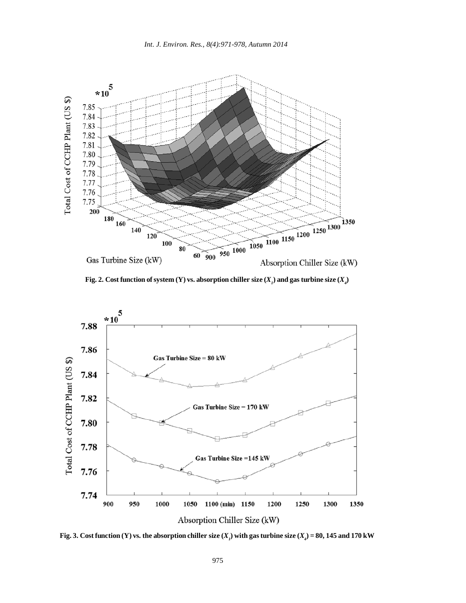

Fig. 2. Cost function of system (Y) vs. absorption chiller size  $(X_{_I})$  and gas turbine size  $(X_{_I})$ 



**Fig. 3.** Cost function (Y) vs. the absorption chiller size  $(X_1)$  with gas turbine size  $(X_4) = 80$ , 145 and 170 kW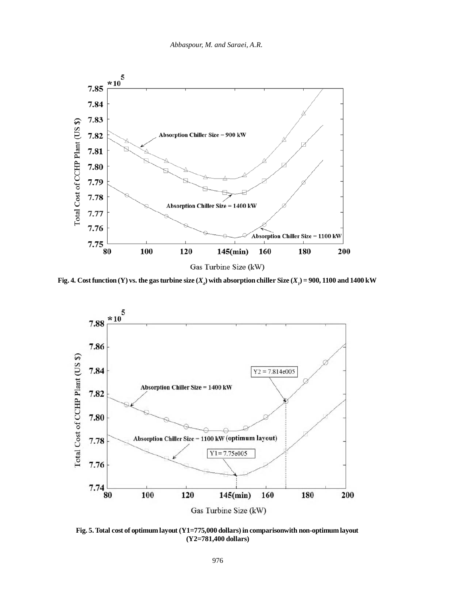

**Fig. 4.** Cost function (Y) vs. the gas turbine size  $(X_4)$  with absorption chiller Size  $(X_1)$  = 900, 1100 and 1400 kW



**Fig. 5. Total cost of optimum layout (Y1=775,000 dollars) in comparisonwith non-optimum layout (Y2=781,400 dollars)**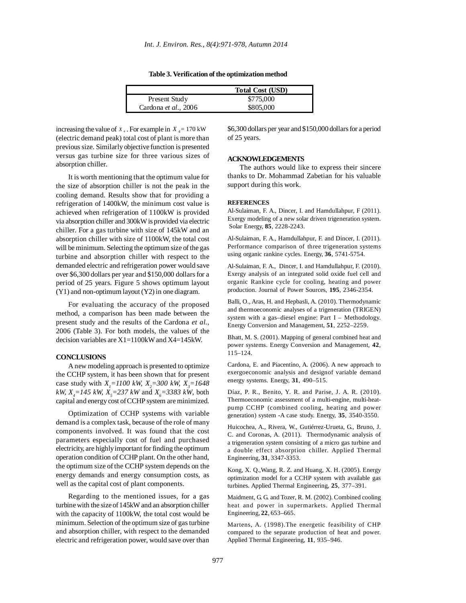**Table 3. Verification of the optimization method**

|                              | <b>Total Cost (USD)</b> |  |
|------------------------------|-------------------------|--|
| Present Study                | \$775,000               |  |
| Cardona <i>et al.</i> , 2006 | \$805,000               |  |

increasing the value of  $X_4$ . For example in  $X_4 = 170$  kW (electric demand peak) total cost of plant is more than previous size. Similarly objective function is presented versus gas turbine size for three various sizes of absorption chiller.

It is worth mentioning that the optimum value for the size of absorption chiller is not the peak in the cooling demand. Results show that for providing a refrigeration of 1400kW, the minimum cost value is achieved when refrigeration of 1100kW is provided via absorption chiller and 300kW is provided via electric chiller. For a gas turbine with size of 145kW and an absorption chiller with size of 1100kW, the total cost will be minimum. Selecting the optimum size of the gas turbine and absorption chiller with respect to the demanded electric and refrigeration power would save over \$6,300 dollars per year and \$150,000 dollars for a period of 25 years. Figure 5 shows optimum layout (Y1) and non-optimum layout (Y2) in one diagram.

For evaluating the accuracy of the proposed method, a comparison has been made between the present study and the results of the Cardona *et al.,* 2006 (Table 3). For both models, the values of the decision variables are X1=1100kW and X4=145kW.

### **CONCLUSIONS**

A new modeling approach is presented to optimize the CCHP system, it has been shown that for present case study with  $X_1 = 1100$  kW,  $X_2 = 300$  kW,  $X_3 = 1648$ *kW,*  $X_4 = 145$  *kW,*  $X_5 = 237$  *kW* and  $X_6 = 3383$  *kW,* both capital and energy cost of CCHP system are minimized.

Optimization of CCHP systems with variable demand is a complex task, because of the role of many components involved. It was found that the cost parameters especially cost of fuel and purchased electricity, are highly important for finding the optimum operation condition of CCHP plant. On the other hand, the optimum size of the CCHP system depends on the energy demands and energy consumption costs, as well as the capital cost of plant components.

Regarding to the mentioned issues, for a gas turbine with the size of 145kW and an absorption chiller with the capacity of 1100kW, the total cost would be minimum. Selection of the optimum size of gas turbine and absorption chiller, with respect to the demanded electric and refrigeration power, would save over than

\$6,300 dollars per year and \$150,000 dollars for a period of 25 years.

## **ACKNOWLEDGEMENTS**

The authors would like to express their sincere thanks to Dr. Mohammad Zabetian for his valuable support during this work.

#### **REFERENCES**

Al-Sulaiman, F. A., Dincer, I. and Hamdullahpur, F (2011). Exergy modeling of a new solar driven trigeneration system. Solar Energy, **85**, 2228-2243.

Al-Sulaiman, F. A., Hamdullahpur, F. and Dincer, I. (2011). Performance comparison of three trigeneration systems using organic rankine cycles. Energy, **36**, 5741-5754.

Al-Sulaiman, F. A., Dincer, I. and Hamdullahpur, F. (2010). Exergy analysis of an integrated solid oxide fuel cell and organic Rankine cycle for cooling, heating and power production. Journal of Power Sources, **195**, 2346-2354.

Balli, O., Aras, H. and Hepbasli, A. (2010). Thermodynamic and thermoeconomic analyses of a trigeneration (TRIGEN) system with a gas–diesel engine: Part I – Methodology. Energy Conversion and Management, **51**, 2252–2259.

Bhatt, M. S. (2001). Mapping of general combined heat and power systems. Energy Conversion and Management, **42**, 115–124.

Cardona, E. and Piacentino, A. (2006). A new approach to exergoeconomic analysis and designof variable demand energy systems. Energy, **31**, 490–515.

Díaz, P. R., Benito, Y. R. and Parise, J. A. R. (2010). Thermoeconomic assessment of a multi-engine, multi-heatpump CCHP (combined cooling, heating and power generation) system -A case study. Energy, **35**, 3540-3550.

Huicochea, A., Rivera, W., Gutiérrez-Urueta, G., Bruno, J. C. and Coronas, A. (2011). Thermodynamic analysis of a trigeneration system consisting of a micro gas turbine and a double effect absorption chiller. Applied Thermal Engineering, **31**, 3347-3353.

Kong, X. Q.,Wang, R. Z. and Huang, X. H. (2005). Energy optimization model for a CCHP system with available gas turbines. Applied Thermal Engineering, **25**, 377–391.

Maidment, G. G. and Tozer, R. M. (2002). Combined cooling heat and power in supermarkets. Applied Thermal Engineering, **22**, 653–665.

Martens, A. (1998).The energetic feasibility of CHP compared to the separate production of heat and power. Applied Thermal Engineering, **11**, 935–946.